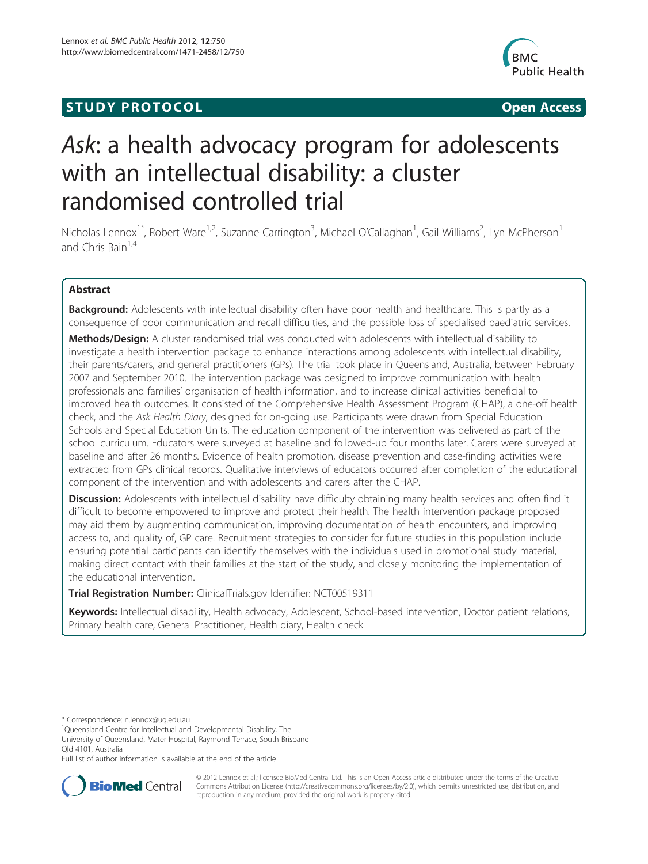## **STUDY PROTOCOL CONSUMING THE STUDY PROTOCOL**



# Ask: a health advocacy program for adolescents with an intellectual disability: a cluster randomised controlled trial

Nicholas Lennox<sup>1\*</sup>, Robert Ware<sup>1,2</sup>, Suzanne Carrington<sup>3</sup>, Michael O'Callaghan<sup>1</sup>, Gail Williams<sup>2</sup>, Lyn McPherson<sup>1</sup> and Chris Bain<sup>1,4</sup>

## Abstract

**Background:** Adolescents with intellectual disability often have poor health and healthcare. This is partly as a consequence of poor communication and recall difficulties, and the possible loss of specialised paediatric services.

Methods/Design: A cluster randomised trial was conducted with adolescents with intellectual disability to investigate a health intervention package to enhance interactions among adolescents with intellectual disability, their parents/carers, and general practitioners (GPs). The trial took place in Queensland, Australia, between February 2007 and September 2010. The intervention package was designed to improve communication with health professionals and families' organisation of health information, and to increase clinical activities beneficial to improved health outcomes. It consisted of the Comprehensive Health Assessment Program (CHAP), a one-off health check, and the Ask Health Diary, designed for on-going use. Participants were drawn from Special Education Schools and Special Education Units. The education component of the intervention was delivered as part of the school curriculum. Educators were surveyed at baseline and followed-up four months later. Carers were surveyed at baseline and after 26 months. Evidence of health promotion, disease prevention and case-finding activities were extracted from GPs clinical records. Qualitative interviews of educators occurred after completion of the educational component of the intervention and with adolescents and carers after the CHAP.

Discussion: Adolescents with intellectual disability have difficulty obtaining many health services and often find it difficult to become empowered to improve and protect their health. The health intervention package proposed may aid them by augmenting communication, improving documentation of health encounters, and improving access to, and quality of, GP care. Recruitment strategies to consider for future studies in this population include ensuring potential participants can identify themselves with the individuals used in promotional study material, making direct contact with their families at the start of the study, and closely monitoring the implementation of the educational intervention.

Trial Registration Number: ClinicalTrials.gov Identifier: NCT00519311

Keywords: Intellectual disability, Health advocacy, Adolescent, School-based intervention, Doctor patient relations, Primary health care, General Practitioner, Health diary, Health check

<sup>1</sup>Queensland Centre for Intellectual and Developmental Disability, The University of Queensland, Mater Hospital, Raymond Terrace, South Brisbane Qld 4101, Australia

Full list of author information is available at the end of the article



© 2012 Lennox et al.; licensee BioMed Central Ltd. This is an Open Access article distributed under the terms of the Creative Commons Attribution License [\(http://creativecommons.org/licenses/by/2.0\)](http://creativecommons.org/licenses/by/2.0), which permits unrestricted use, distribution, and reproduction in any medium, provided the original work is properly cited.

<sup>\*</sup> Correspondence: [n.lennox@uq.edu.au](mailto:n.lennox@uq.edu.au) <sup>1</sup>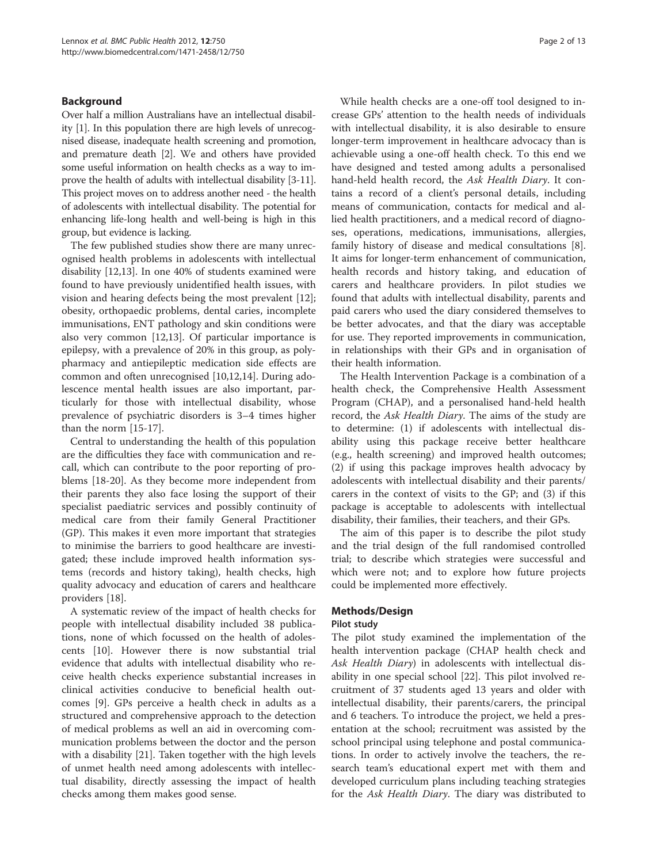## **Background**

Over half a million Australians have an intellectual disability [[1](#page-11-0)]. In this population there are high levels of unrecognised disease, inadequate health screening and promotion, and premature death [\[2\]](#page-11-0). We and others have provided some useful information on health checks as a way to improve the health of adults with intellectual disability [[3](#page-11-0)-[11](#page-11-0)]. This project moves on to address another need - the health of adolescents with intellectual disability. The potential for enhancing life-long health and well-being is high in this group, but evidence is lacking.

The few published studies show there are many unrecognised health problems in adolescents with intellectual disability [\[12,13](#page-11-0)]. In one 40% of students examined were found to have previously unidentified health issues, with vision and hearing defects being the most prevalent [\[12](#page-11-0)]; obesity, orthopaedic problems, dental caries, incomplete immunisations, ENT pathology and skin conditions were also very common [[12](#page-11-0),[13](#page-11-0)]. Of particular importance is epilepsy, with a prevalence of 20% in this group, as polypharmacy and antiepileptic medication side effects are common and often unrecognised [\[10,12,14](#page-11-0)]. During adolescence mental health issues are also important, particularly for those with intellectual disability, whose prevalence of psychiatric disorders is 3–4 times higher than the norm [\[15](#page-11-0)-[17](#page-11-0)].

Central to understanding the health of this population are the difficulties they face with communication and recall, which can contribute to the poor reporting of problems [[18-20\]](#page-11-0). As they become more independent from their parents they also face losing the support of their specialist paediatric services and possibly continuity of medical care from their family General Practitioner (GP). This makes it even more important that strategies to minimise the barriers to good healthcare are investigated; these include improved health information systems (records and history taking), health checks, high quality advocacy and education of carers and healthcare providers [[18\]](#page-11-0).

A systematic review of the impact of health checks for people with intellectual disability included 38 publications, none of which focussed on the health of adolescents [[10\]](#page-11-0). However there is now substantial trial evidence that adults with intellectual disability who receive health checks experience substantial increases in clinical activities conducive to beneficial health outcomes [\[9](#page-11-0)]. GPs perceive a health check in adults as a structured and comprehensive approach to the detection of medical problems as well an aid in overcoming communication problems between the doctor and the person with a disability [[21](#page-11-0)]. Taken together with the high levels of unmet health need among adolescents with intellectual disability, directly assessing the impact of health checks among them makes good sense.

While health checks are a one-off tool designed to increase GPs' attention to the health needs of individuals with intellectual disability, it is also desirable to ensure longer-term improvement in healthcare advocacy than is achievable using a one-off health check. To this end we have designed and tested among adults a personalised hand-held health record, the Ask Health Diary. It contains a record of a client's personal details, including means of communication, contacts for medical and allied health practitioners, and a medical record of diagnoses, operations, medications, immunisations, allergies, family history of disease and medical consultations [\[8](#page-11-0)]. It aims for longer-term enhancement of communication, health records and history taking, and education of carers and healthcare providers. In pilot studies we found that adults with intellectual disability, parents and paid carers who used the diary considered themselves to be better advocates, and that the diary was acceptable for use. They reported improvements in communication, in relationships with their GPs and in organisation of their health information.

The Health Intervention Package is a combination of a health check, the Comprehensive Health Assessment Program (CHAP), and a personalised hand-held health record, the Ask Health Diary. The aims of the study are to determine: (1) if adolescents with intellectual disability using this package receive better healthcare (e.g., health screening) and improved health outcomes; (2) if using this package improves health advocacy by adolescents with intellectual disability and their parents/ carers in the context of visits to the GP; and (3) if this package is acceptable to adolescents with intellectual disability, their families, their teachers, and their GPs.

The aim of this paper is to describe the pilot study and the trial design of the full randomised controlled trial; to describe which strategies were successful and which were not; and to explore how future projects could be implemented more effectively.

## Methods/Design

## Pilot study

The pilot study examined the implementation of the health intervention package (CHAP health check and Ask Health Diary) in adolescents with intellectual disability in one special school [[22\]](#page-11-0). This pilot involved recruitment of 37 students aged 13 years and older with intellectual disability, their parents/carers, the principal and 6 teachers. To introduce the project, we held a presentation at the school; recruitment was assisted by the school principal using telephone and postal communications. In order to actively involve the teachers, the research team's educational expert met with them and developed curriculum plans including teaching strategies for the Ask Health Diary. The diary was distributed to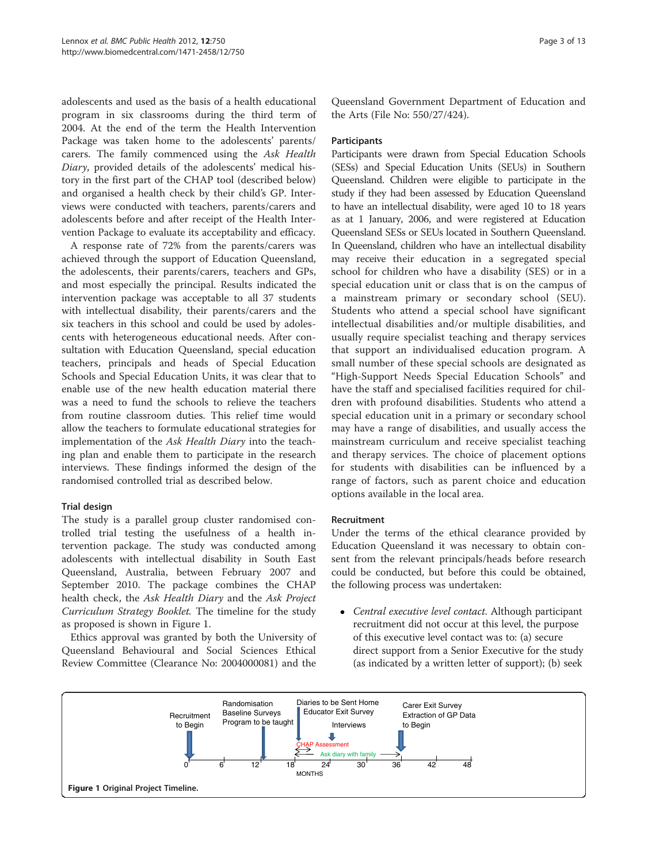<span id="page-2-0"></span>adolescents and used as the basis of a health educational program in six classrooms during the third term of 2004. At the end of the term the Health Intervention Package was taken home to the adolescents' parents/ carers. The family commenced using the Ask Health Diary, provided details of the adolescents' medical history in the first part of the CHAP tool (described below) and organised a health check by their child's GP. Interviews were conducted with teachers, parents/carers and adolescents before and after receipt of the Health Intervention Package to evaluate its acceptability and efficacy.

A response rate of 72% from the parents/carers was achieved through the support of Education Queensland, the adolescents, their parents/carers, teachers and GPs, and most especially the principal. Results indicated the intervention package was acceptable to all 37 students with intellectual disability, their parents/carers and the six teachers in this school and could be used by adolescents with heterogeneous educational needs. After consultation with Education Queensland, special education teachers, principals and heads of Special Education Schools and Special Education Units, it was clear that to enable use of the new health education material there was a need to fund the schools to relieve the teachers from routine classroom duties. This relief time would allow the teachers to formulate educational strategies for implementation of the Ask Health Diary into the teaching plan and enable them to participate in the research interviews. These findings informed the design of the randomised controlled trial as described below.

## Trial design

The study is a parallel group cluster randomised controlled trial testing the usefulness of a health intervention package. The study was conducted among adolescents with intellectual disability in South East Queensland, Australia, between February 2007 and September 2010. The package combines the CHAP health check, the Ask Health Diary and the Ask Project Curriculum Strategy Booklet. The timeline for the study as proposed is shown in Figure 1.

Ethics approval was granted by both the University of Queensland Behavioural and Social Sciences Ethical Review Committee (Clearance No: 2004000081) and the Queensland Government Department of Education and the Arts (File No: 550/27/424).

## **Participants**

Participants were drawn from Special Education Schools (SESs) and Special Education Units (SEUs) in Southern Queensland. Children were eligible to participate in the study if they had been assessed by Education Queensland to have an intellectual disability, were aged 10 to 18 years as at 1 January, 2006, and were registered at Education Queensland SESs or SEUs located in Southern Queensland. In Queensland, children who have an intellectual disability may receive their education in a segregated special school for children who have a disability (SES) or in a special education unit or class that is on the campus of a mainstream primary or secondary school (SEU). Students who attend a special school have significant intellectual disabilities and/or multiple disabilities, and usually require specialist teaching and therapy services that support an individualised education program. A small number of these special schools are designated as "High-Support Needs Special Education Schools" and have the staff and specialised facilities required for children with profound disabilities. Students who attend a special education unit in a primary or secondary school may have a range of disabilities, and usually access the mainstream curriculum and receive specialist teaching and therapy services. The choice of placement options for students with disabilities can be influenced by a range of factors, such as parent choice and education options available in the local area.

## Recruitment

Under the terms of the ethical clearance provided by Education Queensland it was necessary to obtain consent from the relevant principals/heads before research could be conducted, but before this could be obtained, the following process was undertaken:

• Central executive level contact. Although participant recruitment did not occur at this level, the purpose of this executive level contact was to: (a) secure direct support from a Senior Executive for the study (as indicated by a written letter of support); (b) seek

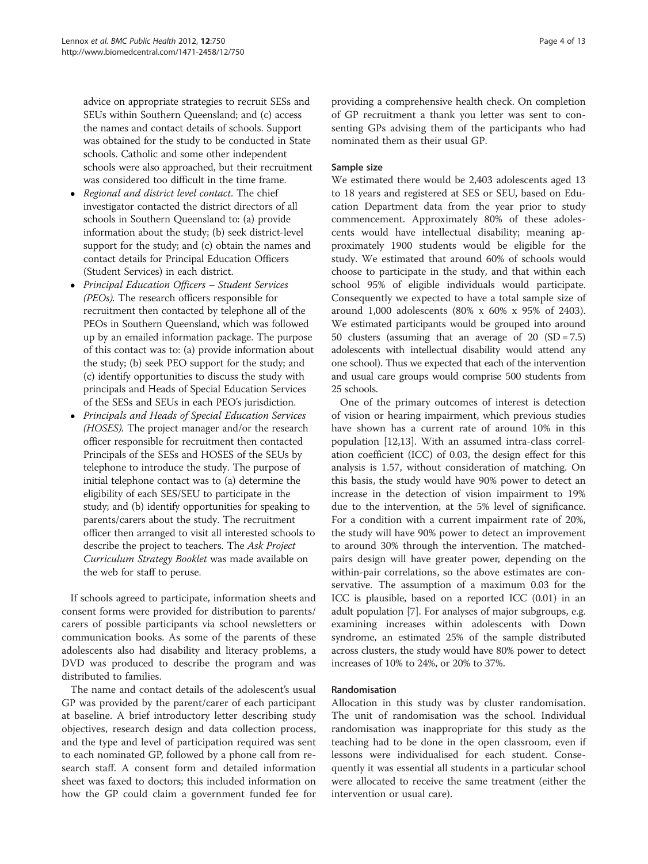advice on appropriate strategies to recruit SESs and SEUs within Southern Queensland; and (c) access the names and contact details of schools. Support was obtained for the study to be conducted in State schools. Catholic and some other independent schools were also approached, but their recruitment was considered too difficult in the time frame.

- Regional and district level contact. The chief investigator contacted the district directors of all schools in Southern Queensland to: (a) provide information about the study; (b) seek district-level support for the study; and (c) obtain the names and contact details for Principal Education Officers (Student Services) in each district.
- Principal Education Officers Student Services (PEOs). The research officers responsible for recruitment then contacted by telephone all of the PEOs in Southern Queensland, which was followed up by an emailed information package. The purpose of this contact was to: (a) provide information about the study; (b) seek PEO support for the study; and (c) identify opportunities to discuss the study with principals and Heads of Special Education Services of the SESs and SEUs in each PEO's jurisdiction.
- Principals and Heads of Special Education Services (HOSES). The project manager and/or the research officer responsible for recruitment then contacted Principals of the SESs and HOSES of the SEUs by telephone to introduce the study. The purpose of initial telephone contact was to (a) determine the eligibility of each SES/SEU to participate in the study; and (b) identify opportunities for speaking to parents/carers about the study. The recruitment officer then arranged to visit all interested schools to describe the project to teachers. The Ask Project Curriculum Strategy Booklet was made available on the web for staff to peruse.

If schools agreed to participate, information sheets and consent forms were provided for distribution to parents/ carers of possible participants via school newsletters or communication books. As some of the parents of these adolescents also had disability and literacy problems, a DVD was produced to describe the program and was distributed to families.

The name and contact details of the adolescent's usual GP was provided by the parent/carer of each participant at baseline. A brief introductory letter describing study objectives, research design and data collection process, and the type and level of participation required was sent to each nominated GP, followed by a phone call from research staff. A consent form and detailed information sheet was faxed to doctors; this included information on how the GP could claim a government funded fee for providing a comprehensive health check. On completion of GP recruitment a thank you letter was sent to consenting GPs advising them of the participants who had nominated them as their usual GP.

## Sample size

We estimated there would be 2,403 adolescents aged 13 to 18 years and registered at SES or SEU, based on Education Department data from the year prior to study commencement. Approximately 80% of these adolescents would have intellectual disability; meaning approximately 1900 students would be eligible for the study. We estimated that around 60% of schools would choose to participate in the study, and that within each school 95% of eligible individuals would participate. Consequently we expected to have a total sample size of around 1,000 adolescents (80% x 60% x 95% of 2403). We estimated participants would be grouped into around 50 clusters (assuming that an average of 20  $(SD = 7.5)$ ) adolescents with intellectual disability would attend any one school). Thus we expected that each of the intervention and usual care groups would comprise 500 students from 25 schools.

One of the primary outcomes of interest is detection of vision or hearing impairment, which previous studies have shown has a current rate of around 10% in this population [\[12,13\]](#page-11-0). With an assumed intra-class correlation coefficient (ICC) of 0.03, the design effect for this analysis is 1.57, without consideration of matching. On this basis, the study would have 90% power to detect an increase in the detection of vision impairment to 19% due to the intervention, at the 5% level of significance. For a condition with a current impairment rate of 20%, the study will have 90% power to detect an improvement to around 30% through the intervention. The matchedpairs design will have greater power, depending on the within-pair correlations, so the above estimates are conservative. The assumption of a maximum 0.03 for the ICC is plausible, based on a reported ICC (0.01) in an adult population [\[7\]](#page-11-0). For analyses of major subgroups, e.g. examining increases within adolescents with Down syndrome, an estimated 25% of the sample distributed across clusters, the study would have 80% power to detect increases of 10% to 24%, or 20% to 37%.

## Randomisation

Allocation in this study was by cluster randomisation. The unit of randomisation was the school. Individual randomisation was inappropriate for this study as the teaching had to be done in the open classroom, even if lessons were individualised for each student. Consequently it was essential all students in a particular school were allocated to receive the same treatment (either the intervention or usual care).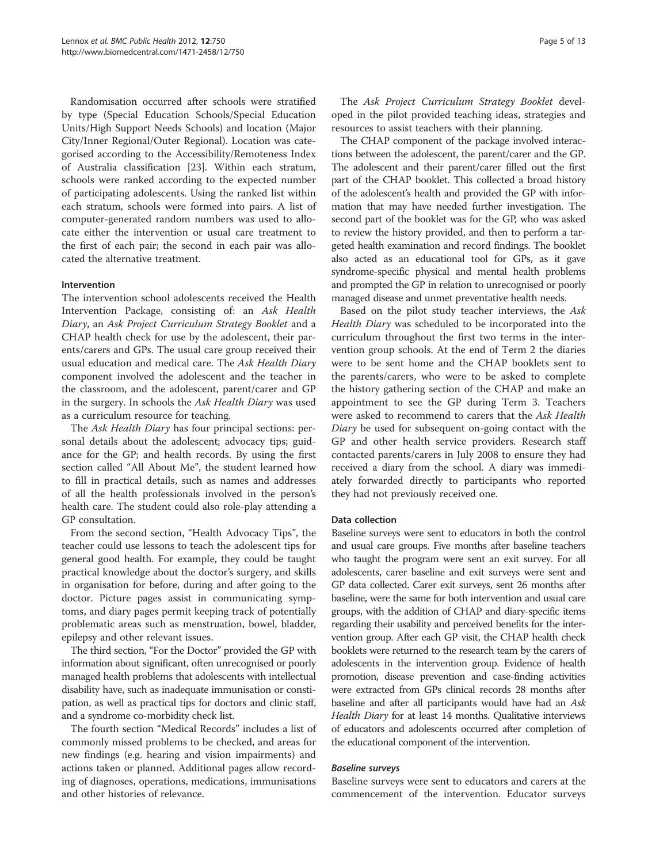Randomisation occurred after schools were stratified by type (Special Education Schools/Special Education Units/High Support Needs Schools) and location (Major City/Inner Regional/Outer Regional). Location was categorised according to the Accessibility/Remoteness Index of Australia classification [\[23](#page-11-0)]. Within each stratum, schools were ranked according to the expected number of participating adolescents. Using the ranked list within each stratum, schools were formed into pairs. A list of computer-generated random numbers was used to allocate either the intervention or usual care treatment to the first of each pair; the second in each pair was allocated the alternative treatment.

## Intervention

The intervention school adolescents received the Health Intervention Package, consisting of: an Ask Health Diary, an Ask Project Curriculum Strategy Booklet and a CHAP health check for use by the adolescent, their parents/carers and GPs. The usual care group received their usual education and medical care. The Ask Health Diary component involved the adolescent and the teacher in the classroom, and the adolescent, parent/carer and GP in the surgery. In schools the Ask Health Diary was used as a curriculum resource for teaching.

The Ask Health Diary has four principal sections: personal details about the adolescent; advocacy tips; guidance for the GP; and health records. By using the first section called "All About Me", the student learned how to fill in practical details, such as names and addresses of all the health professionals involved in the person's health care. The student could also role-play attending a GP consultation.

From the second section, "Health Advocacy Tips", the teacher could use lessons to teach the adolescent tips for general good health. For example, they could be taught practical knowledge about the doctor's surgery, and skills in organisation for before, during and after going to the doctor. Picture pages assist in communicating symptoms, and diary pages permit keeping track of potentially problematic areas such as menstruation, bowel, bladder, epilepsy and other relevant issues.

The third section, "For the Doctor" provided the GP with information about significant, often unrecognised or poorly managed health problems that adolescents with intellectual disability have, such as inadequate immunisation or constipation, as well as practical tips for doctors and clinic staff, and a syndrome co-morbidity check list.

The fourth section "Medical Records" includes a list of commonly missed problems to be checked, and areas for new findings (e.g. hearing and vision impairments) and actions taken or planned. Additional pages allow recording of diagnoses, operations, medications, immunisations and other histories of relevance.

The Ask Project Curriculum Strategy Booklet developed in the pilot provided teaching ideas, strategies and resources to assist teachers with their planning.

The CHAP component of the package involved interactions between the adolescent, the parent/carer and the GP. The adolescent and their parent/carer filled out the first part of the CHAP booklet. This collected a broad history of the adolescent's health and provided the GP with information that may have needed further investigation. The second part of the booklet was for the GP, who was asked to review the history provided, and then to perform a targeted health examination and record findings. The booklet also acted as an educational tool for GPs, as it gave syndrome-specific physical and mental health problems and prompted the GP in relation to unrecognised or poorly managed disease and unmet preventative health needs.

Based on the pilot study teacher interviews, the Ask Health Diary was scheduled to be incorporated into the curriculum throughout the first two terms in the intervention group schools. At the end of Term 2 the diaries were to be sent home and the CHAP booklets sent to the parents/carers, who were to be asked to complete the history gathering section of the CHAP and make an appointment to see the GP during Term 3. Teachers were asked to recommend to carers that the Ask Health Diary be used for subsequent on-going contact with the GP and other health service providers. Research staff contacted parents/carers in July 2008 to ensure they had received a diary from the school. A diary was immediately forwarded directly to participants who reported they had not previously received one.

## Data collection

Baseline surveys were sent to educators in both the control and usual care groups. Five months after baseline teachers who taught the program were sent an exit survey. For all adolescents, carer baseline and exit surveys were sent and GP data collected. Carer exit surveys, sent 26 months after baseline, were the same for both intervention and usual care groups, with the addition of CHAP and diary-specific items regarding their usability and perceived benefits for the intervention group. After each GP visit, the CHAP health check booklets were returned to the research team by the carers of adolescents in the intervention group. Evidence of health promotion, disease prevention and case-finding activities were extracted from GPs clinical records 28 months after baseline and after all participants would have had an Ask Health Diary for at least 14 months. Qualitative interviews of educators and adolescents occurred after completion of the educational component of the intervention.

## Baseline surveys

Baseline surveys were sent to educators and carers at the commencement of the intervention. Educator surveys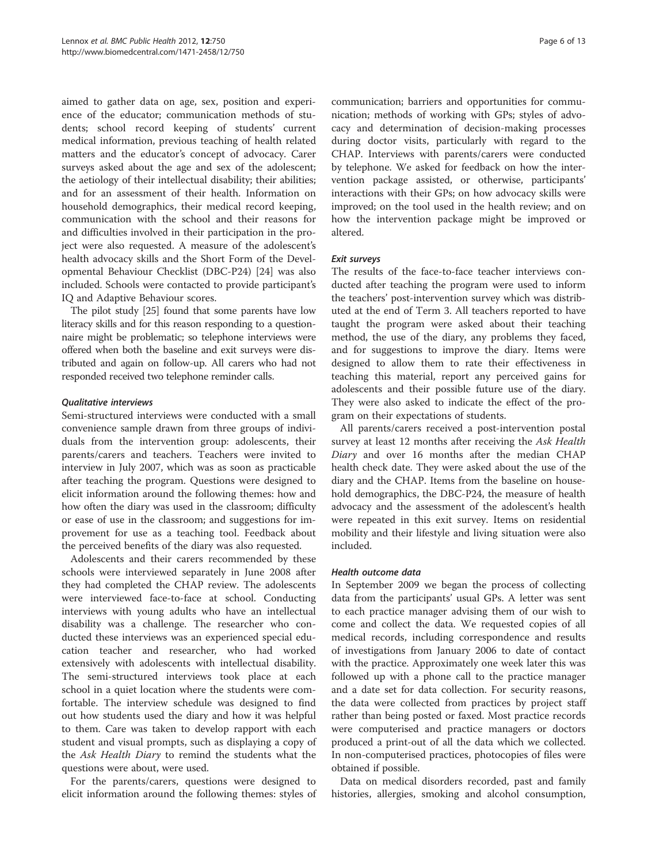aimed to gather data on age, sex, position and experience of the educator; communication methods of students; school record keeping of students' current medical information, previous teaching of health related matters and the educator's concept of advocacy. Carer surveys asked about the age and sex of the adolescent; the aetiology of their intellectual disability; their abilities; and for an assessment of their health. Information on household demographics, their medical record keeping, communication with the school and their reasons for and difficulties involved in their participation in the project were also requested. A measure of the adolescent's health advocacy skills and the Short Form of the Developmental Behaviour Checklist (DBC-P24) [\[24](#page-11-0)] was also included. Schools were contacted to provide participant's IQ and Adaptive Behaviour scores.

The pilot study [\[25\]](#page-12-0) found that some parents have low literacy skills and for this reason responding to a questionnaire might be problematic; so telephone interviews were offered when both the baseline and exit surveys were distributed and again on follow-up. All carers who had not responded received two telephone reminder calls.

## Qualitative interviews

Semi-structured interviews were conducted with a small convenience sample drawn from three groups of individuals from the intervention group: adolescents, their parents/carers and teachers. Teachers were invited to interview in July 2007, which was as soon as practicable after teaching the program. Questions were designed to elicit information around the following themes: how and how often the diary was used in the classroom; difficulty or ease of use in the classroom; and suggestions for improvement for use as a teaching tool. Feedback about the perceived benefits of the diary was also requested.

Adolescents and their carers recommended by these schools were interviewed separately in June 2008 after they had completed the CHAP review. The adolescents were interviewed face-to-face at school. Conducting interviews with young adults who have an intellectual disability was a challenge. The researcher who conducted these interviews was an experienced special education teacher and researcher, who had worked extensively with adolescents with intellectual disability. The semi-structured interviews took place at each school in a quiet location where the students were comfortable. The interview schedule was designed to find out how students used the diary and how it was helpful to them. Care was taken to develop rapport with each student and visual prompts, such as displaying a copy of the Ask Health Diary to remind the students what the questions were about, were used.

For the parents/carers, questions were designed to elicit information around the following themes: styles of

communication; barriers and opportunities for communication; methods of working with GPs; styles of advocacy and determination of decision-making processes during doctor visits, particularly with regard to the CHAP. Interviews with parents/carers were conducted by telephone. We asked for feedback on how the intervention package assisted, or otherwise, participants' interactions with their GPs; on how advocacy skills were improved; on the tool used in the health review; and on how the intervention package might be improved or altered.

## Exit surveys

The results of the face-to-face teacher interviews conducted after teaching the program were used to inform the teachers' post-intervention survey which was distributed at the end of Term 3. All teachers reported to have taught the program were asked about their teaching method, the use of the diary, any problems they faced, and for suggestions to improve the diary. Items were designed to allow them to rate their effectiveness in teaching this material, report any perceived gains for adolescents and their possible future use of the diary. They were also asked to indicate the effect of the program on their expectations of students.

All parents/carers received a post-intervention postal survey at least 12 months after receiving the Ask Health Diary and over 16 months after the median CHAP health check date. They were asked about the use of the diary and the CHAP. Items from the baseline on household demographics, the DBC-P24, the measure of health advocacy and the assessment of the adolescent's health were repeated in this exit survey. Items on residential mobility and their lifestyle and living situation were also included.

## Health outcome data

In September 2009 we began the process of collecting data from the participants' usual GPs. A letter was sent to each practice manager advising them of our wish to come and collect the data. We requested copies of all medical records, including correspondence and results of investigations from January 2006 to date of contact with the practice. Approximately one week later this was followed up with a phone call to the practice manager and a date set for data collection. For security reasons, the data were collected from practices by project staff rather than being posted or faxed. Most practice records were computerised and practice managers or doctors produced a print-out of all the data which we collected. In non-computerised practices, photocopies of files were obtained if possible.

Data on medical disorders recorded, past and family histories, allergies, smoking and alcohol consumption,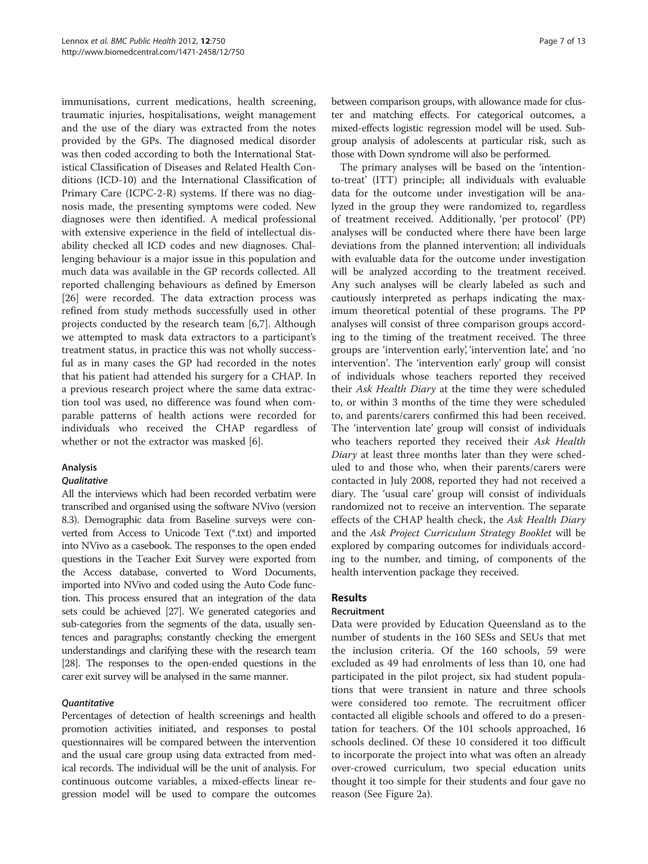immunisations, current medications, health screening, traumatic injuries, hospitalisations, weight management and the use of the diary was extracted from the notes provided by the GPs. The diagnosed medical disorder was then coded according to both the International Statistical Classification of Diseases and Related Health Conditions (ICD-10) and the International Classification of Primary Care (ICPC-2-R) systems. If there was no diagnosis made, the presenting symptoms were coded. New diagnoses were then identified. A medical professional with extensive experience in the field of intellectual disability checked all ICD codes and new diagnoses. Challenging behaviour is a major issue in this population and much data was available in the GP records collected. All reported challenging behaviours as defined by Emerson [[26\]](#page-12-0) were recorded. The data extraction process was refined from study methods successfully used in other projects conducted by the research team [\[6](#page-11-0),[7](#page-11-0)]. Although we attempted to mask data extractors to a participant's treatment status, in practice this was not wholly successful as in many cases the GP had recorded in the notes that his patient had attended his surgery for a CHAP. In a previous research project where the same data extraction tool was used, no difference was found when comparable patterns of health actions were recorded for individuals who received the CHAP regardless of whether or not the extractor was masked [[6\]](#page-11-0).

## Analysis

## **Oualitative**

All the interviews which had been recorded verbatim were transcribed and organised using the software NVivo (version 8.3). Demographic data from Baseline surveys were converted from Access to Unicode Text (\*.txt) and imported into NVivo as a casebook. The responses to the open ended questions in the Teacher Exit Survey were exported from the Access database, converted to Word Documents, imported into NVivo and coded using the Auto Code function. This process ensured that an integration of the data sets could be achieved [\[27](#page-12-0)]. We generated categories and sub-categories from the segments of the data, usually sentences and paragraphs; constantly checking the emergent understandings and clarifying these with the research team [[28\]](#page-12-0). The responses to the open-ended questions in the carer exit survey will be analysed in the same manner.

## **Quantitative**

Percentages of detection of health screenings and health promotion activities initiated, and responses to postal questionnaires will be compared between the intervention and the usual care group using data extracted from medical records. The individual will be the unit of analysis. For continuous outcome variables, a mixed-effects linear regression model will be used to compare the outcomes between comparison groups, with allowance made for cluster and matching effects. For categorical outcomes, a mixed-effects logistic regression model will be used. Subgroup analysis of adolescents at particular risk, such as those with Down syndrome will also be performed.

The primary analyses will be based on the 'intentionto-treat' (ITT) principle; all individuals with evaluable data for the outcome under investigation will be analyzed in the group they were randomized to, regardless of treatment received. Additionally, 'per protocol' (PP) analyses will be conducted where there have been large deviations from the planned intervention; all individuals with evaluable data for the outcome under investigation will be analyzed according to the treatment received. Any such analyses will be clearly labeled as such and cautiously interpreted as perhaps indicating the maximum theoretical potential of these programs. The PP analyses will consist of three comparison groups according to the timing of the treatment received. The three groups are 'intervention early', 'intervention late', and 'no intervention'. The 'intervention early' group will consist of individuals whose teachers reported they received their Ask Health Diary at the time they were scheduled to, or within 3 months of the time they were scheduled to, and parents/carers confirmed this had been received. The 'intervention late' group will consist of individuals who teachers reported they received their Ask Health Diary at least three months later than they were scheduled to and those who, when their parents/carers were contacted in July 2008, reported they had not received a diary. The 'usual care' group will consist of individuals randomized not to receive an intervention. The separate effects of the CHAP health check, the Ask Health Diary and the Ask Project Curriculum Strategy Booklet will be explored by comparing outcomes for individuals according to the number, and timing, of components of the health intervention package they received.

## Results

## Recruitment

Data were provided by Education Queensland as to the number of students in the 160 SESs and SEUs that met the inclusion criteria. Of the 160 schools, 59 were excluded as 49 had enrolments of less than 10, one had participated in the pilot project, six had student populations that were transient in nature and three schools were considered too remote. The recruitment officer contacted all eligible schools and offered to do a presentation for teachers. Of the 101 schools approached, 16 schools declined. Of these 10 considered it too difficult to incorporate the project into what was often an already over-crowed curriculum, two special education units thought it too simple for their students and four gave no reason (See Figure [2](#page-7-0)a).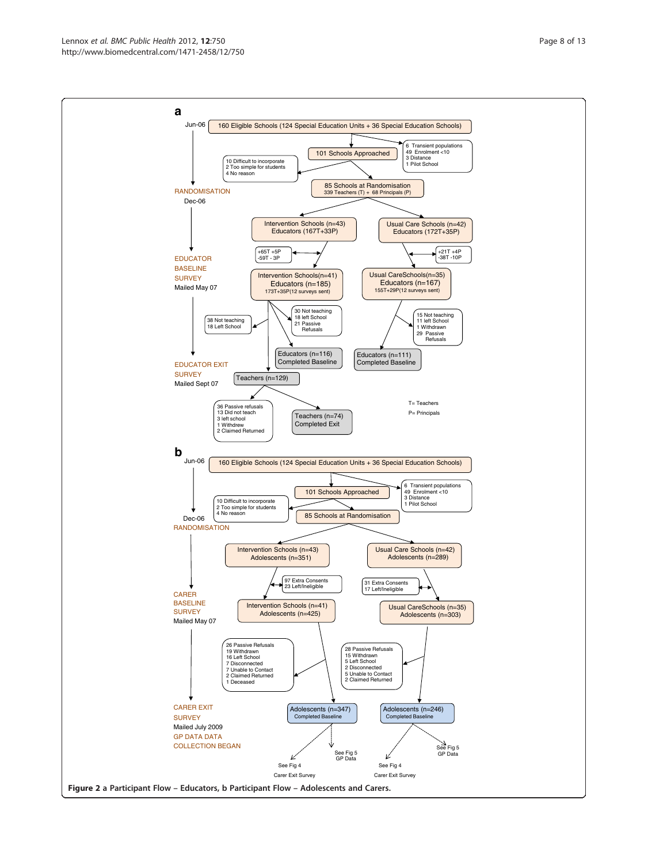<span id="page-7-0"></span>Lennox et al. BMC Public Health 2012, 12:750 Page 8 of 13 http://www.biomedcentral.com/1471-2458/12/750

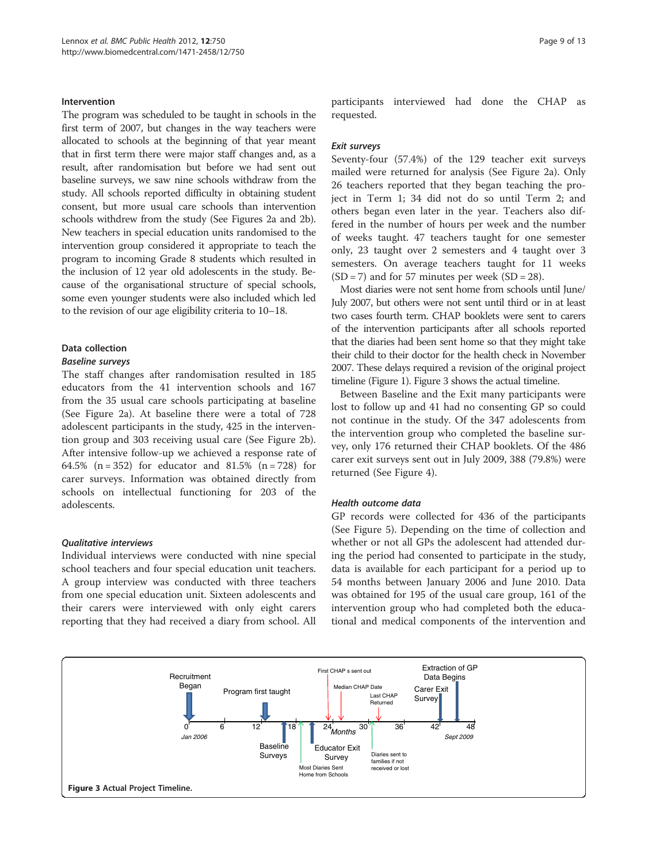## Intervention

The program was scheduled to be taught in schools in the first term of 2007, but changes in the way teachers were allocated to schools at the beginning of that year meant that in first term there were major staff changes and, as a result, after randomisation but before we had sent out baseline surveys, we saw nine schools withdraw from the study. All schools reported difficulty in obtaining student consent, but more usual care schools than intervention schools withdrew from the study (See Figures [2a](#page-7-0) and [2](#page-7-0)b). New teachers in special education units randomised to the intervention group considered it appropriate to teach the program to incoming Grade 8 students which resulted in the inclusion of 12 year old adolescents in the study. Because of the organisational structure of special schools, some even younger students were also included which led to the revision of our age eligibility criteria to 10–18.

## Data collection

## Baseline surveys

The staff changes after randomisation resulted in 185 educators from the 41 intervention schools and 167 from the 35 usual care schools participating at baseline (See Figure [2a](#page-7-0)). At baseline there were a total of 728 adolescent participants in the study, 425 in the intervention group and 303 receiving usual care (See Figure [2](#page-7-0)b). After intensive follow-up we achieved a response rate of 64.5% (n = 352) for educator and 81.5% (n = 728) for carer surveys. Information was obtained directly from schools on intellectual functioning for 203 of the adolescents.

## Qualitative interviews

Individual interviews were conducted with nine special school teachers and four special education unit teachers. A group interview was conducted with three teachers from one special education unit. Sixteen adolescents and their carers were interviewed with only eight carers reporting that they had received a diary from school. All

participants interviewed had done the CHAP as requested.

## Exit surveys

Seventy-four (57.4%) of the 129 teacher exit surveys mailed were returned for analysis (See Figure [2a](#page-7-0)). Only 26 teachers reported that they began teaching the project in Term 1; 34 did not do so until Term 2; and others began even later in the year. Teachers also differed in the number of hours per week and the number of weeks taught. 47 teachers taught for one semester only, 23 taught over 2 semesters and 4 taught over 3 semesters. On average teachers taught for 11 weeks  $(SD = 7)$  and for 57 minutes per week  $(SD = 28)$ .

Most diaries were not sent home from schools until June/ July 2007, but others were not sent until third or in at least two cases fourth term. CHAP booklets were sent to carers of the intervention participants after all schools reported that the diaries had been sent home so that they might take their child to their doctor for the health check in November 2007. These delays required a revision of the original project timeline (Figure [1](#page-2-0)). Figure 3 shows the actual timeline.

Between Baseline and the Exit many participants were lost to follow up and 41 had no consenting GP so could not continue in the study. Of the 347 adolescents from the intervention group who completed the baseline survey, only 176 returned their CHAP booklets. Of the 486 carer exit surveys sent out in July 2009, 388 (79.8%) were returned (See Figure [4](#page-9-0)).

## Health outcome data

GP records were collected for 436 of the participants (See Figure [5](#page-9-0)). Depending on the time of collection and whether or not all GPs the adolescent had attended during the period had consented to participate in the study, data is available for each participant for a period up to 54 months between January 2006 and June 2010. Data was obtained for 195 of the usual care group, 161 of the intervention group who had completed both the educational and medical components of the intervention and

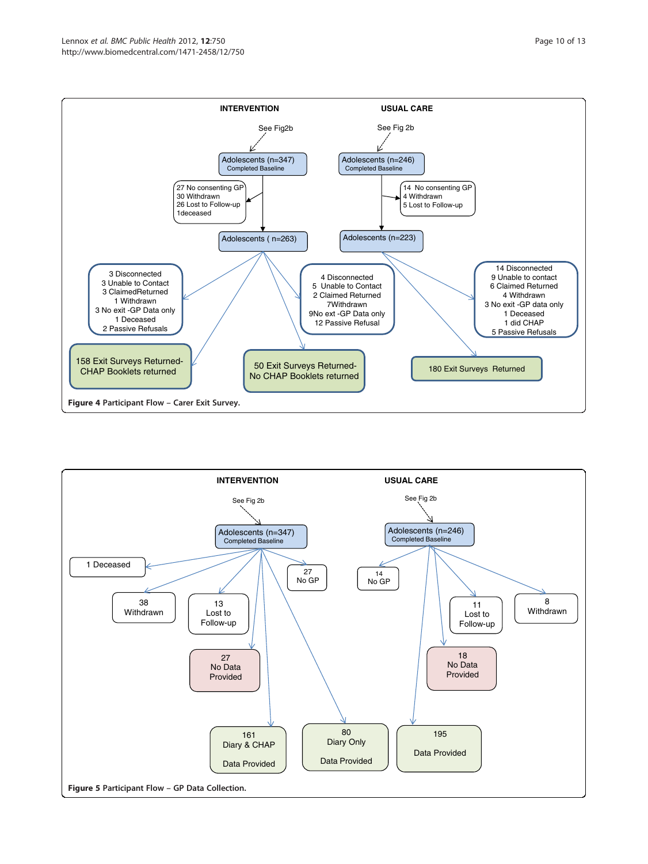<span id="page-9-0"></span>

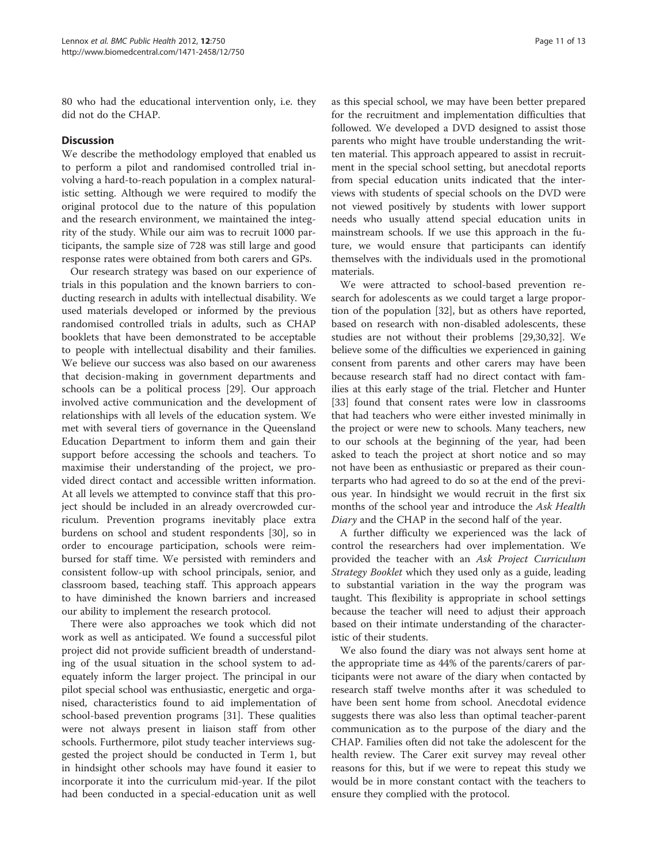80 who had the educational intervention only, i.e. they did not do the CHAP.

## **Discussion**

We describe the methodology employed that enabled us to perform a pilot and randomised controlled trial involving a hard-to-reach population in a complex naturalistic setting. Although we were required to modify the original protocol due to the nature of this population and the research environment, we maintained the integrity of the study. While our aim was to recruit 1000 participants, the sample size of 728 was still large and good response rates were obtained from both carers and GPs.

Our research strategy was based on our experience of trials in this population and the known barriers to conducting research in adults with intellectual disability. We used materials developed or informed by the previous randomised controlled trials in adults, such as CHAP booklets that have been demonstrated to be acceptable to people with intellectual disability and their families. We believe our success was also based on our awareness that decision-making in government departments and schools can be a political process [[29\]](#page-12-0). Our approach involved active communication and the development of relationships with all levels of the education system. We met with several tiers of governance in the Queensland Education Department to inform them and gain their support before accessing the schools and teachers. To maximise their understanding of the project, we provided direct contact and accessible written information. At all levels we attempted to convince staff that this project should be included in an already overcrowded curriculum. Prevention programs inevitably place extra burdens on school and student respondents [\[30\]](#page-12-0), so in order to encourage participation, schools were reimbursed for staff time. We persisted with reminders and consistent follow-up with school principals, senior, and classroom based, teaching staff. This approach appears to have diminished the known barriers and increased our ability to implement the research protocol.

There were also approaches we took which did not work as well as anticipated. We found a successful pilot project did not provide sufficient breadth of understanding of the usual situation in the school system to adequately inform the larger project. The principal in our pilot special school was enthusiastic, energetic and organised, characteristics found to aid implementation of school-based prevention programs [\[31](#page-12-0)]. These qualities were not always present in liaison staff from other schools. Furthermore, pilot study teacher interviews suggested the project should be conducted in Term 1, but in hindsight other schools may have found it easier to incorporate it into the curriculum mid-year. If the pilot had been conducted in a special-education unit as well

as this special school, we may have been better prepared for the recruitment and implementation difficulties that followed. We developed a DVD designed to assist those parents who might have trouble understanding the written material. This approach appeared to assist in recruitment in the special school setting, but anecdotal reports from special education units indicated that the interviews with students of special schools on the DVD were not viewed positively by students with lower support needs who usually attend special education units in mainstream schools. If we use this approach in the future, we would ensure that participants can identify themselves with the individuals used in the promotional materials.

We were attracted to school-based prevention research for adolescents as we could target a large proportion of the population [\[32\]](#page-12-0), but as others have reported, based on research with non-disabled adolescents, these studies are not without their problems [\[29,30,32](#page-12-0)]. We believe some of the difficulties we experienced in gaining consent from parents and other carers may have been because research staff had no direct contact with families at this early stage of the trial. Fletcher and Hunter [[33\]](#page-12-0) found that consent rates were low in classrooms that had teachers who were either invested minimally in the project or were new to schools. Many teachers, new to our schools at the beginning of the year, had been asked to teach the project at short notice and so may not have been as enthusiastic or prepared as their counterparts who had agreed to do so at the end of the previous year. In hindsight we would recruit in the first six months of the school year and introduce the Ask Health Diary and the CHAP in the second half of the year.

A further difficulty we experienced was the lack of control the researchers had over implementation. We provided the teacher with an Ask Project Curriculum Strategy Booklet which they used only as a guide, leading to substantial variation in the way the program was taught. This flexibility is appropriate in school settings because the teacher will need to adjust their approach based on their intimate understanding of the characteristic of their students.

We also found the diary was not always sent home at the appropriate time as 44% of the parents/carers of participants were not aware of the diary when contacted by research staff twelve months after it was scheduled to have been sent home from school. Anecdotal evidence suggests there was also less than optimal teacher-parent communication as to the purpose of the diary and the CHAP. Families often did not take the adolescent for the health review. The Carer exit survey may reveal other reasons for this, but if we were to repeat this study we would be in more constant contact with the teachers to ensure they complied with the protocol.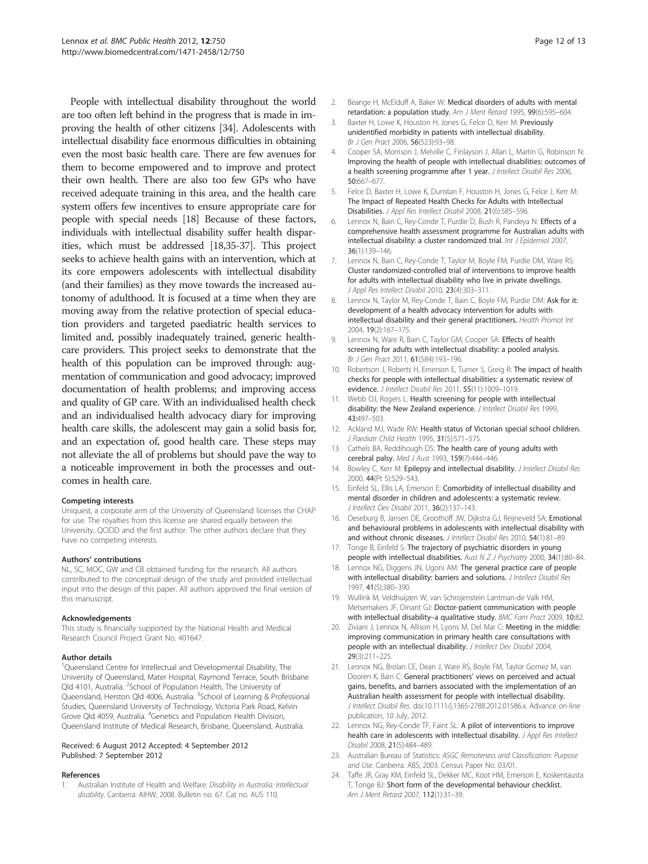<span id="page-11-0"></span>People with intellectual disability throughout the world are too often left behind in the progress that is made in improving the health of other citizens [[34\]](#page-12-0). Adolescents with intellectual disability face enormous difficulties in obtaining even the most basic health care. There are few avenues for them to become empowered and to improve and protect their own health. There are also too few GPs who have received adequate training in this area, and the health care system offers few incentives to ensure appropriate care for people with special needs [18] Because of these factors, individuals with intellectual disability suffer health disparities, which must be addressed [18[,35-37\]](#page-12-0). This project seeks to achieve health gains with an intervention, which at its core empowers adolescents with intellectual disability (and their families) as they move towards the increased autonomy of adulthood. It is focused at a time when they are moving away from the relative protection of special education providers and targeted paediatric health services to limited and, possibly inadequately trained, generic healthcare providers. This project seeks to demonstrate that the health of this population can be improved through: augmentation of communication and good advocacy; improved documentation of health problems; and improving access and quality of GP care. With an individualised health check and an individualised health advocacy diary for improving health care skills, the adolescent may gain a solid basis for, and an expectation of, good health care. These steps may not alleviate the all of problems but should pave the way to a noticeable improvement in both the processes and outcomes in health care.

## Competing interests

Uniquest, a corporate arm of the University of Queensland licenses the CHAP for use. The royalties from this license are shared equally between the University, QCIDD and the first author. The other authors declare that they have no competing interests.

#### Authors' contributions

NL, SC, MOC, GW and CB obtained funding for the research. All authors contributed to the conceptual design of the study and provided intellectual input into the design of this paper. All authors approved the final version of this manuscript.

#### Acknowledgements

This study is financially supported by the National Health and Medical Research Council Project Grant No. 401647.

#### Author details

<sup>1</sup>Queensland Centre for Intellectual and Developmental Disability, The University of Queensland, Mater Hospital, Raymond Terrace, South Brisbane Qld 4101, Australia. <sup>2</sup>School of Population Health, The University of Queensland, Herston Qld 4006, Australia. <sup>3</sup>School of Learning & Professional Studies, Queensland University of Technology, Victoria Park Road, Kelvin Grove Qld 4059, Australia. <sup>4</sup>Genetics and Population Health Division, Queensland Institute of Medical Research, Brisbane, Queensland, Australia.

## Received: 6 August 2012 Accepted: 4 September 2012 Published: 7 September 2012

## References

1. Australian Institute of Health and Welfare: Disability in Australia: Intellectual disability. Canberra: AIHW; 2008. Bulletin no. 67. Cat no. AUS 110.

- 2. Beange H, McElduff A, Baker W: Medical disorders of adults with mental retardation: a population study. Am J Ment Retard 1995, 99(6):595–604.
- 3. Baxter H, Lowe K, Houston H, Jones G, Felce D, Kerr M: Previously unidentified morbidity in patients with intellectual disability. Br J Gen Pract 2006, 56(523):93–98.
- 4. Cooper SA, Morrison J, Melville C, Finlayson J, Allan L, Martin G, Robinson N: Improving the health of people with intellectual disabilities: outcomes of a health screening programme after 1 year. J Intellect Disabil Res 2006, 50:667–677.
- 5. Felce D, Baxter H, Lowe K, Dunstan F, Houston H, Jones G, Felce J, Kerr M: The Impact of Repeated Health Checks for Adults with Intellectual Disabilities. J Appl Res Intellect Disabil 2008, 21(6):585–596.
- Lennox N, Bain C, Rey-Conde T, Purdie D, Bush R, Pandeya N: Effects of a comprehensive health assessment programme for Australian adults with intellectual disability: a cluster randomized trial. Int J Epidemiol 2007, 36(1):139–146.
- 7. Lennox N, Bain C, Rey-Conde T, Taylor M, Boyle FM, Purdie DM, Ware RS: Cluster randomized-controlled trial of interventions to improve health for adults with intellectual disability who live in private dwellings. J Appl Res Intellect Disabil 2010, 23(4):303–311.
- 8. Lennox N, Taylor M, Rey-Conde T, Bain C, Boyle FM, Purdie DM: Ask for it: development of a health advocacy intervention for adults with intellectual disability and their general practitioners. Health Promot Int 2004, 19(2):167–175.
- 9. Lennox N, Ware R, Bain C, Taylor GM, Cooper SA: Effects of health screening for adults with intellectual disability: a pooled analysis. Br J Gen Pract 2011, 61(584):193–196.
- 10. Robertson J, Roberts H, Emerson E, Turner S, Greig R: The impact of health checks for people with intellectual disabilities: a systematic review of evidence. J Intellect Disabil Res 2011, 55(11):1009–1019.
- 11. Webb OJ, Rogers L: Health screening for people with intellectual disability: the New Zealand experience. J Intellect Disabil Res 1999, 43:497–503.
- 12. Ackland MJ, Wade RW: Health status of Victorian special school children. J Paediatr Child Health 1995, 31(5):571–575.
- 13. Cathels BA, Reddihough DS: The health care of young adults with cerebral palsy. Med J Aust 1993, 159(7):444–446.
- 14. Bowley C, Kerr M: Epilepsy and intellectual disability. J Intellect Disabil Res 2000, 44(Pt 5):529–543.
- 15. Einfeld SL, Ellis LA, Emerson E: Comorbidity of intellectual disability and mental disorder in children and adolescents: a systematic review. J Intellect Dev Disabil 2011, 36(2):137–143.
- 16. Oeseburg B, Jansen DE, Groothoff JW, Dijkstra GJ, Reijneveld SA: Emotional and behavioural problems in adolescents with intellectual disability with and without chronic diseases. J Intellect Disabil Res 2010, 54(1):81-89.
- 17. Tonge B, Einfeld S: The trajectory of psychiatric disorders in young people with intellectual disabilities. Aust N Z J Psychiatry 2000, 34(1):80-84.
- 18. Lennox NG, Diggens JN, Ugoni AM: The general practice care of people with intellectual disability: barriers and solutions. J Intellect Disabil Res 1997, 41(5):380–390.
- 19. Wullink M, Veldhuijzen W, van Schrojenstein Lantman-de Valk HM, Metsemakers JF, Dinant GJ: Doctor-patient communication with people with intellectual disability-a qualitative study. BMC Fam Pract 2009, 10:82.
- 20. Ziviani J, Lennox N, Allison H, Lyons M, Del Mar C: Meeting in the middle: improving communication in primary health care consultations with people with an intellectual disability. J Intellect Dev Disabil 2004, 29(3):211–225.
- 21. Lennox NG, Brolan CE, Dean J, Ware RS, Boyle FM, Taylor Gomez M, van Dooren K, Bain C: General practitioners' views on perceived and actual gains, benefits, and barriers associated with the implementation of an Australian health assessment for people with intellectual disability. J Intellect Disabil Res. doi[:10.1111/j.1365-2788.2012.01586.x.](http://dx.doi.org/10.1111/j.1365-2788.2012.01586.x) Advance on-line publication, 10 July, 2012.
- 22. Lennox NG, Rey-Conde TF, Faint SL: A pilot of interventions to improve health care in adolescents with intellectual disability. J Appl Res Intellect Disabil 2008, 21(5):484–489.
- 23. Australian Bureau of Statistics: ASGC Remoteness and Classification: Purpose and Use. Canberra: ABS; 2003. Census Paper No. 03/01.
- 24. Taffe JR, Gray KM, Einfeld SL, Dekker MC, Koot HM, Emerson E, Koskentausta T, Tonge BJ: Short form of the developmental behaviour checklist. Am J Ment Retard 2007, 112(1):31–39.